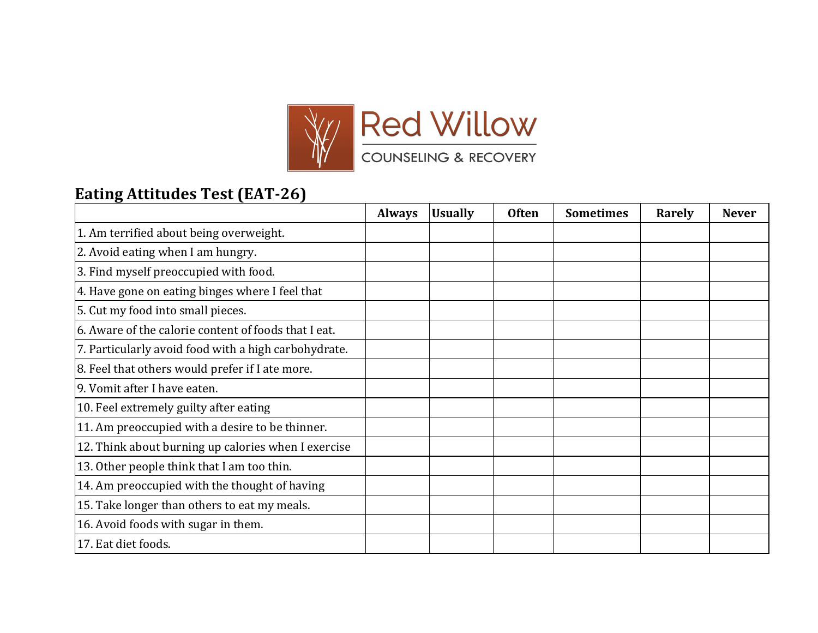

## **Eating Attitudes Test (EAT-26)**

|                                                      | <b>Always</b> | <b>Usually</b> | <b>Often</b> | <b>Sometimes</b> | Rarely | <b>Never</b> |
|------------------------------------------------------|---------------|----------------|--------------|------------------|--------|--------------|
| 1. Am terrified about being overweight.              |               |                |              |                  |        |              |
| 2. Avoid eating when I am hungry.                    |               |                |              |                  |        |              |
| 3. Find myself preoccupied with food.                |               |                |              |                  |        |              |
| 4. Have gone on eating binges where I feel that      |               |                |              |                  |        |              |
| 5. Cut my food into small pieces.                    |               |                |              |                  |        |              |
| 6. Aware of the calorie content of foods that I eat. |               |                |              |                  |        |              |
| 7. Particularly avoid food with a high carbohydrate. |               |                |              |                  |        |              |
| 8. Feel that others would prefer if I ate more.      |               |                |              |                  |        |              |
| 9. Vomit after I have eaten.                         |               |                |              |                  |        |              |
| 10. Feel extremely guilty after eating               |               |                |              |                  |        |              |
| 11. Am preoccupied with a desire to be thinner.      |               |                |              |                  |        |              |
| 12. Think about burning up calories when I exercise  |               |                |              |                  |        |              |
| 13. Other people think that I am too thin.           |               |                |              |                  |        |              |
| 14. Am preoccupied with the thought of having        |               |                |              |                  |        |              |
| 15. Take longer than others to eat my meals.         |               |                |              |                  |        |              |
| 16. Avoid foods with sugar in them.                  |               |                |              |                  |        |              |
| 17. Eat diet foods.                                  |               |                |              |                  |        |              |